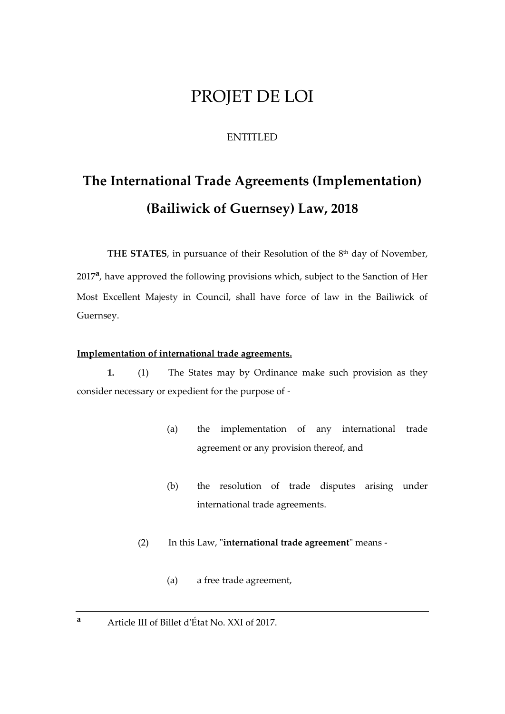# PROJET DE LOI

## ENTITLED

# **The International Trade Agreements (Implementation) (Bailiwick of Guernsey) Law, 2018**

**THE STATES**, in pursuance of their Resolution of the 8<sup>th</sup> day of November,

2017<sup>a</sup>, have approved the following provisions which, subject to the Sanction of Her Most Excellent Majesty in Council, shall have force of law in the Bailiwick of Guernsey.

## **Implementation of international trade agreements.**

**1.** (1) The States may by Ordinance make such provision as they consider necessary or expedient for the purpose of -

- (a) the implementation of any international trade agreement or any provision thereof, and
- (b) the resolution of trade disputes arising under international trade agreements.
- (2) In this Law, "**international trade agreement**" means
	- (a) a free trade agreement,
- **<sup>a</sup>** Article III of Billet d'État No. XXI of 2017.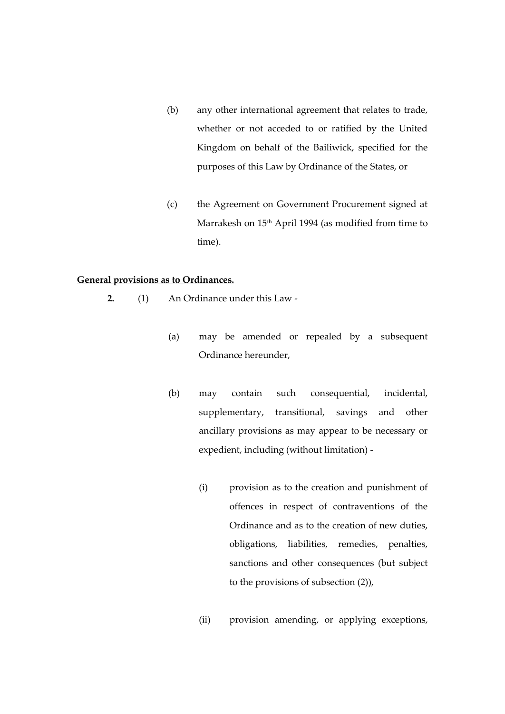- (b) any other international agreement that relates to trade, whether or not acceded to or ratified by the United Kingdom on behalf of the Bailiwick, specified for the purposes of this Law by Ordinance of the States, or
- (c) the Agreement on Government Procurement signed at Marrakesh on 15<sup>th</sup> April 1994 (as modified from time to time).

#### **General provisions as to Ordinances.**

- **2.** (1) An Ordinance under this Law
	- (a) may be amended or repealed by a subsequent Ordinance hereunder,
	- (b) may contain such consequential, incidental, supplementary, transitional, savings and other ancillary provisions as may appear to be necessary or expedient, including (without limitation) -
		- (i) provision as to the creation and punishment of offences in respect of contraventions of the Ordinance and as to the creation of new duties, obligations, liabilities, remedies, penalties, sanctions and other consequences (but subject to the provisions of subsection (2)),
		- (ii) provision amending, or applying exceptions,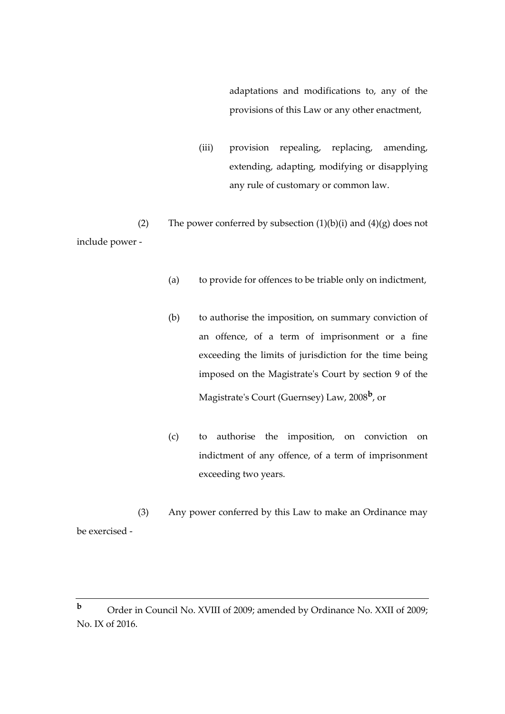adaptations and modifications to, any of the provisions of this Law or any other enactment,

(iii) provision repealing, replacing, amending, extending, adapting, modifying or disapplying any rule of customary or common law.

(2) The power conferred by subsection  $(1)(b)(i)$  and  $(4)(g)$  does not include power -

- (a) to provide for offences to be triable only on indictment,
- (b) to authorise the imposition, on summary conviction of an offence, of a term of imprisonment or a fine exceeding the limits of jurisdiction for the time being imposed on the Magistrate's Court by section 9 of the Magistrate's Court (Guernsey) Law, 2008**<sup>b</sup>** , or
- (c) to authorise the imposition, on conviction on indictment of any offence, of a term of imprisonment exceeding two years.

(3) Any power conferred by this Law to make an Ordinance may be exercised -

**b** Order in Council No. XVIII of 2009; amended by Ordinance No. XXII of 2009; No. IX of 2016.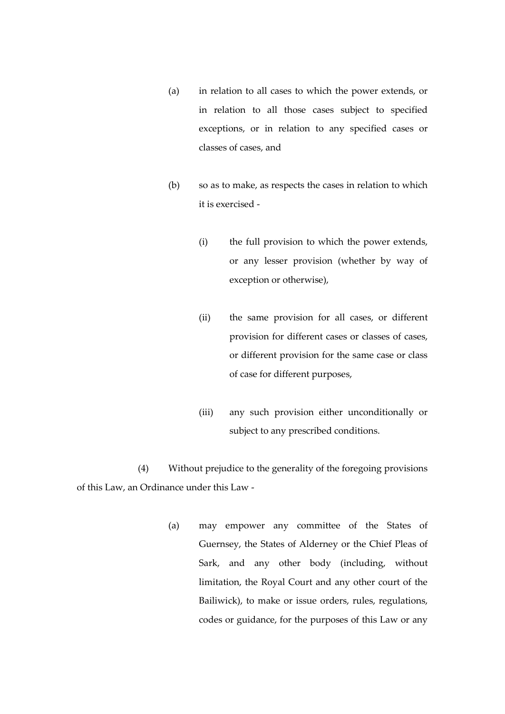- (a) in relation to all cases to which the power extends, or in relation to all those cases subject to specified exceptions, or in relation to any specified cases or classes of cases, and
- (b) so as to make, as respects the cases in relation to which it is exercised -
	- (i) the full provision to which the power extends, or any lesser provision (whether by way of exception or otherwise),
	- (ii) the same provision for all cases, or different provision for different cases or classes of cases, or different provision for the same case or class of case for different purposes,
	- (iii) any such provision either unconditionally or subject to any prescribed conditions.

(4) Without prejudice to the generality of the foregoing provisions of this Law, an Ordinance under this Law -

> (a) may empower any committee of the States of Guernsey, the States of Alderney or the Chief Pleas of Sark, and any other body (including, without limitation, the Royal Court and any other court of the Bailiwick), to make or issue orders, rules, regulations, codes or guidance, for the purposes of this Law or any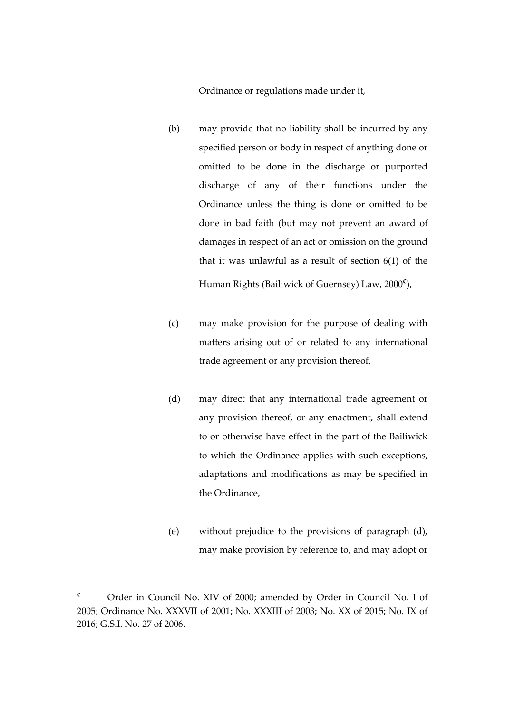Ordinance or regulations made under it,

- (b) may provide that no liability shall be incurred by any specified person or body in respect of anything done or omitted to be done in the discharge or purported discharge of any of their functions under the Ordinance unless the thing is done or omitted to be done in bad faith (but may not prevent an award of damages in respect of an act or omission on the ground that it was unlawful as a result of section 6(1) of the Human Rights (Bailiwick of Guernsey) Law, 2000**<sup>c</sup>** ),
- (c) may make provision for the purpose of dealing with matters arising out of or related to any international trade agreement or any provision thereof,
- (d) may direct that any international trade agreement or any provision thereof, or any enactment, shall extend to or otherwise have effect in the part of the Bailiwick to which the Ordinance applies with such exceptions, adaptations and modifications as may be specified in the Ordinance,
- (e) without prejudice to the provisions of paragraph (d), may make provision by reference to, and may adopt or

**<sup>c</sup>** Order in Council No. XIV of 2000; amended by Order in Council No. I of 2005; Ordinance No. XXXVII of 2001; No. XXXIII of 2003; No. XX of 2015; No. IX of 2016; G.S.I. No. 27 of 2006.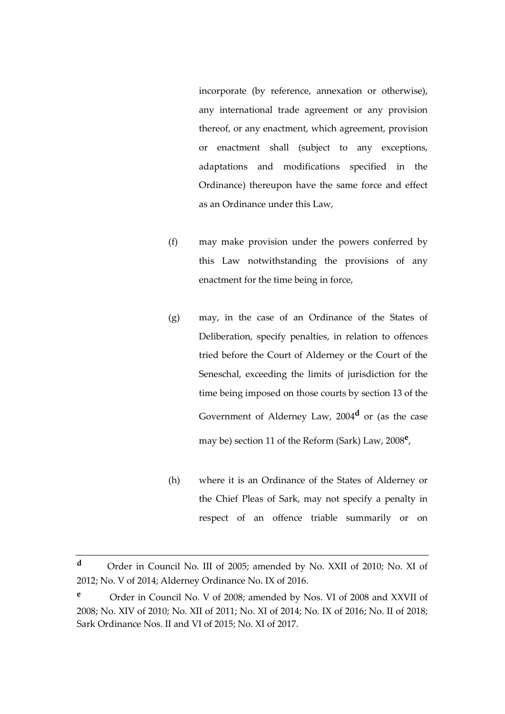incorporate (by reference, annexation or otherwise), any international trade agreement or any provision thereof, or any enactment, which agreement, provision or enactment shall (subject to any exceptions, adaptations and modifications specified in the Ordinance) thereupon have the same force and effect as an Ordinance under this Law,

- (f) may make provision under the powers conferred by this Law notwithstanding the provisions of any enactment for the time being in force,
- (g) may, in the case of an Ordinance of the States of Deliberation, specify penalties, in relation to offences tried before the Court of Alderney or the Court of the Seneschal, exceeding the limits of jurisdiction for the time being imposed on those courts by section 13 of the Government of Alderney Law, 2004**<sup>d</sup>** or (as the case may be) section 11 of the Reform (Sark) Law, 2008**<sup>e</sup>** ,
- (h) where it is an Ordinance of the States of Alderney or the Chief Pleas of Sark, may not specify a penalty in respect of an offence triable summarily or on

**<sup>d</sup>** Order in Council No. III of 2005; amended by No. XXII of 2010; No. XI of 2012; No. V of 2014; Alderney Ordinance No. IX of 2016.

**<sup>e</sup>** Order in Council No. V of 2008; amended by Nos. VI of 2008 and XXVII of 2008; No. XIV of 2010; No. XII of 2011; No. XI of 2014; No. IX of 2016; No. II of 2018; Sark Ordinance Nos. II and VI of 2015; No. XI of 2017.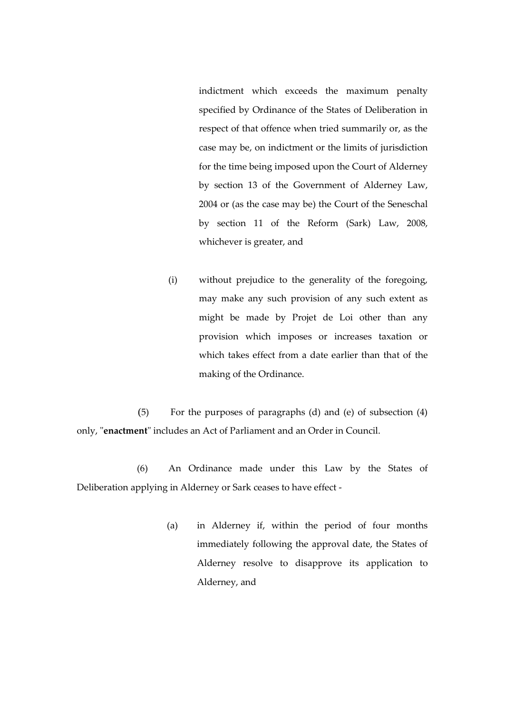indictment which exceeds the maximum penalty specified by Ordinance of the States of Deliberation in respect of that offence when tried summarily or, as the case may be, on indictment or the limits of jurisdiction for the time being imposed upon the Court of Alderney by section 13 of the Government of Alderney Law, 2004 or (as the case may be) the Court of the Seneschal by section 11 of the Reform (Sark) Law, 2008, whichever is greater, and

(i) without prejudice to the generality of the foregoing, may make any such provision of any such extent as might be made by Projet de Loi other than any provision which imposes or increases taxation or which takes effect from a date earlier than that of the making of the Ordinance.

(5) For the purposes of paragraphs (d) and (e) of subsection (4) only, "**enactment**" includes an Act of Parliament and an Order in Council.

(6) An Ordinance made under this Law by the States of Deliberation applying in Alderney or Sark ceases to have effect -

> (a) in Alderney if, within the period of four months immediately following the approval date, the States of Alderney resolve to disapprove its application to Alderney, and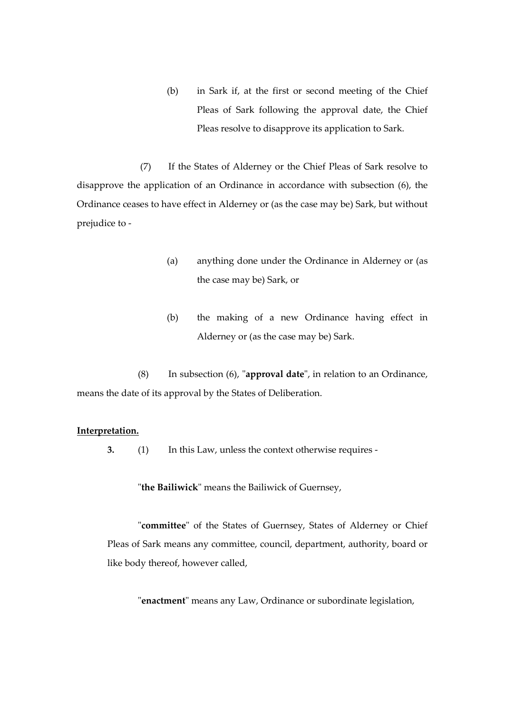(b) in Sark if, at the first or second meeting of the Chief Pleas of Sark following the approval date, the Chief Pleas resolve to disapprove its application to Sark.

(7) If the States of Alderney or the Chief Pleas of Sark resolve to disapprove the application of an Ordinance in accordance with subsection (6), the Ordinance ceases to have effect in Alderney or (as the case may be) Sark, but without prejudice to -

- (a) anything done under the Ordinance in Alderney or (as the case may be) Sark, or
- (b) the making of a new Ordinance having effect in Alderney or (as the case may be) Sark.

(8) In subsection (6), "**approval date**", in relation to an Ordinance, means the date of its approval by the States of Deliberation.

#### **Interpretation.**

**3.** (1) In this Law, unless the context otherwise requires -

"**the Bailiwick**" means the Bailiwick of Guernsey,

"**committee**" of the States of Guernsey, States of Alderney or Chief Pleas of Sark means any committee, council, department, authority, board or like body thereof, however called,

"**enactment**" means any Law, Ordinance or subordinate legislation,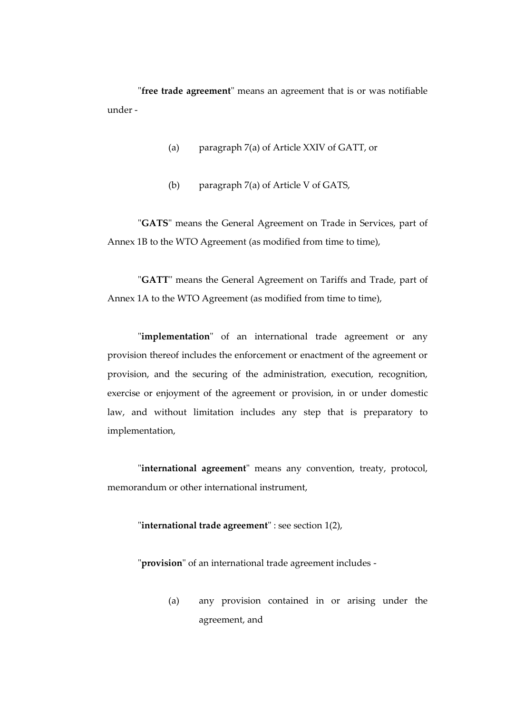"**free trade agreement**" means an agreement that is or was notifiable under -

- (a) paragraph 7(a) of Article XXIV of GATT, or
- (b) paragraph 7(a) of Article V of GATS,

"**GATS**" means the General Agreement on Trade in Services, part of Annex 1B to the WTO Agreement (as modified from time to time),

"**GATT**" means the General Agreement on Tariffs and Trade, part of Annex 1A to the WTO Agreement (as modified from time to time),

"**implementation**" of an international trade agreement or any provision thereof includes the enforcement or enactment of the agreement or provision, and the securing of the administration, execution, recognition, exercise or enjoyment of the agreement or provision, in or under domestic law, and without limitation includes any step that is preparatory to implementation,

"**international agreement**" means any convention, treaty, protocol, memorandum or other international instrument,

"**international trade agreement**" : see section 1(2),

"**provision**" of an international trade agreement includes -

(a) any provision contained in or arising under the agreement, and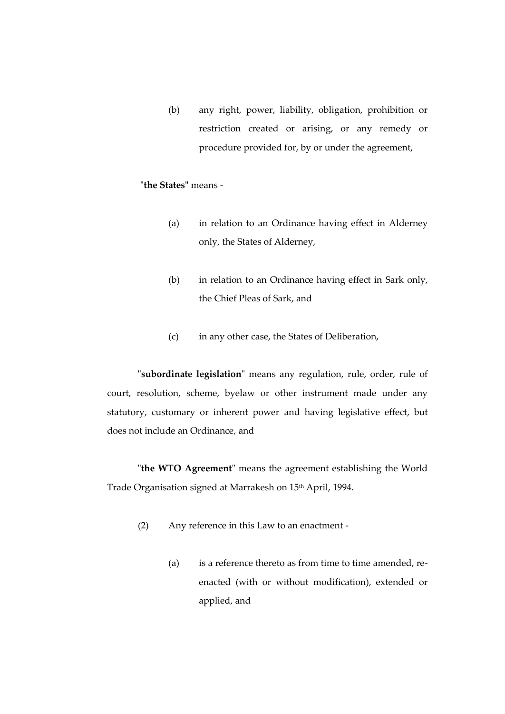(b) any right, power, liability, obligation, prohibition or restriction created or arising, or any remedy or procedure provided for, by or under the agreement,

# **"the States"** means -

- (a) in relation to an Ordinance having effect in Alderney only, the States of Alderney,
- (b) in relation to an Ordinance having effect in Sark only, the Chief Pleas of Sark, and
- (c) in any other case, the States of Deliberation,

"**subordinate legislation**" means any regulation, rule, order, rule of court, resolution, scheme, byelaw or other instrument made under any statutory, customary or inherent power and having legislative effect, but does not include an Ordinance, and

"**the WTO Agreement**" means the agreement establishing the World Trade Organisation signed at Marrakesh on 15<sup>th</sup> April, 1994.

- (2) Any reference in this Law to an enactment
	- (a) is a reference thereto as from time to time amended, reenacted (with or without modification), extended or applied, and